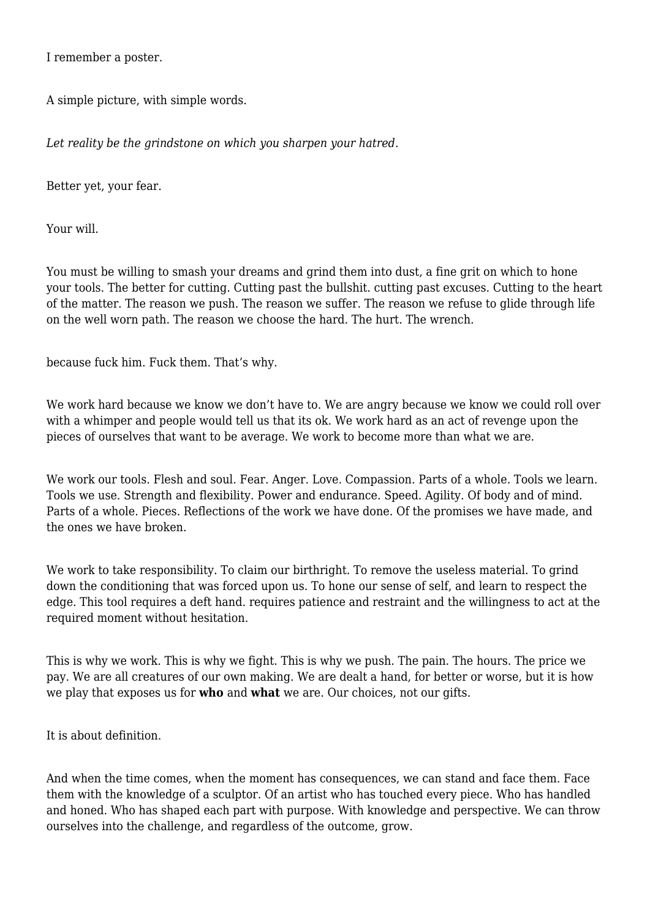I remember a poster.

A simple picture, with simple words.

*Let reality be the grindstone on which you sharpen your hatred.*

Better yet, your fear.

Your will.

You must be willing to smash your dreams and grind them into dust, a fine grit on which to hone your tools. The better for cutting. Cutting past the bullshit. cutting past excuses. Cutting to the heart of the matter. The reason we push. The reason we suffer. The reason we refuse to glide through life on the well worn path. The reason we choose the hard. The hurt. The wrench.

because fuck him. Fuck them. That's why.

We work hard because we know we don't have to. We are angry because we know we could roll over with a whimper and people would tell us that its ok. We work hard as an act of revenge upon the pieces of ourselves that want to be average. We work to become more than what we are.

We work our tools. Flesh and soul. Fear. Anger. Love. Compassion. Parts of a whole. Tools we learn. Tools we use. Strength and flexibility. Power and endurance. Speed. Agility. Of body and of mind. Parts of a whole. Pieces. Reflections of the work we have done. Of the promises we have made, and the ones we have broken.

We work to take responsibility. To claim our birthright. To remove the useless material. To grind down the conditioning that was forced upon us. To hone our sense of self, and learn to respect the edge. This tool requires a deft hand. requires patience and restraint and the willingness to act at the required moment without hesitation.

This is why we work. This is why we fight. This is why we push. The pain. The hours. The price we pay. We are all creatures of our own making. We are dealt a hand, for better or worse, but it is how we play that exposes us for **who** and **what** we are. Our choices, not our gifts.

It is about definition.

And when the time comes, when the moment has consequences, we can stand and face them. Face them with the knowledge of a sculptor. Of an artist who has touched every piece. Who has handled and honed. Who has shaped each part with purpose. With knowledge and perspective. We can throw ourselves into the challenge, and regardless of the outcome, grow.